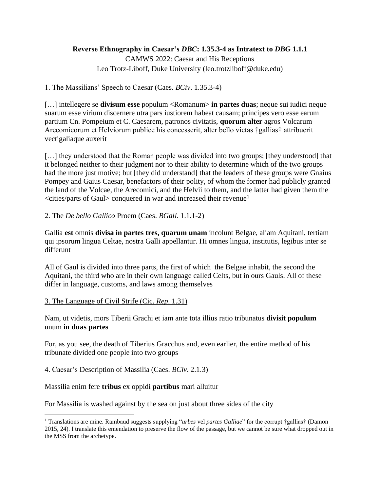# **Reverse Ethnography in Caesar's** *DBC***: 1.35.3-4 as Intratext to** *DBG* **1.1.1**

CAMWS 2022: Caesar and His Receptions Leo Trotz-Liboff, Duke University (leo.trotzliboff@duke.edu)

## 1. The Massilians' Speech to Caesar (Caes. *BCiv*. 1.35.3-4)

[…] intellegere se **divisum esse** populum <Romanum> **in partes duas**; neque sui iudici neque suarum esse virium discernere utra pars iustiorem habeat causam; principes vero esse earum partium Cn. Pompeium et C. Caesarem, patronos civitatis, **quorum alter** agros Volcarum Arecomicorum et Helviorum publice his concesserit, alter bello victas †gallias† attribuerit vectigaliaque auxerit

[...] they understood that the Roman people was divided into two groups; [they understood] that it belonged neither to their judgment nor to their ability to determine which of the two groups had the more just motive; but [they did understand] that the leaders of these groups were Gnaius Pompey and Gaius Caesar, benefactors of their polity, of whom the former had publicly granted the land of the Volcae, the Arecomici, and the Helvii to them, and the latter had given them the <cities/parts of Gaul> conquered in war and increased their revenue<sup>1</sup>

# 2. The *De bello Gallico* Proem (Caes. *BGall*. 1.1.1-2)

Gallia **est** omnis **divisa in partes tres, quarum unam** incolunt Belgae, aliam Aquitani, tertiam qui ipsorum lingua Celtae, nostra Galli appellantur. Hi omnes lingua, institutis, legibus inter se differunt

All of Gaul is divided into three parts, the first of which the Belgae inhabit, the second the Aquitani, the third who are in their own language called Celts, but in ours Gauls. All of these differ in language, customs, and laws among themselves

### 3. The Language of Civil Strife (Cic. *Rep*. 1.31)

Nam, ut videtis, mors Tiberii Grachi et iam ante tota illius ratio tribunatus **divisit populum** unum **in duas partes**

For, as you see, the death of Tiberius Gracchus and, even earlier, the entire method of his tribunate divided one people into two groups

### 4. Caesar's Description of Massilia (Caes. *BCiv*. 2.1.3)

### Massilia enim fere **tribus** ex oppidi **partibus** mari alluitur

For Massilia is washed against by the sea on just about three sides of the city

<sup>1</sup> Translations are mine. Rambaud suggests supplying "*urbes* vel *partes Galliae*" for the corrupt †gallias† (Damon 2015, 24). I translate this emendation to preserve the flow of the passage, but we cannot be sure what dropped out in the MSS from the archetype.